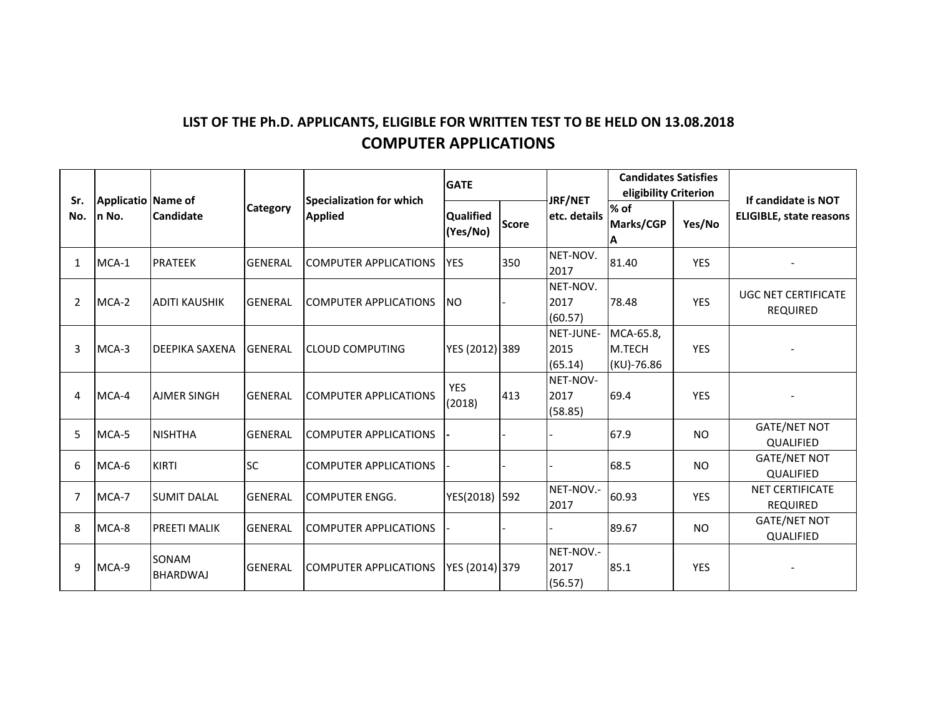## **LIST OF THE Ph.D. APPLICANTS, ELIGIBLE FOR WRITTEN TEST TO BE HELD ON 13.08.2018 COMPUTER APPLICATIONS**

| Sr.<br>No.     | Applicatio Name of<br>In No. | <b>Candidate</b>         | <b>Category</b> | <b>Specialization for which</b><br><b>Applied</b> | <b>GATE</b>                  |              | JRF/NET                      | <b>Candidates Satisfies</b><br>eligibility Criterion |            | If candidate is NOT                           |
|----------------|------------------------------|--------------------------|-----------------|---------------------------------------------------|------------------------------|--------------|------------------------------|------------------------------------------------------|------------|-----------------------------------------------|
|                |                              |                          |                 |                                                   | <b>Qualified</b><br>(Yes/No) | <b>Score</b> | etc. details                 | % of<br>Marks/CGP<br>ΙA                              | Yes/No     | <b>ELIGIBLE, state reasons</b>                |
| $\mathbf{1}$   | MCA-1                        | <b>PRATEEK</b>           | <b>GENERAL</b>  | <b>COMPUTER APPLICATIONS</b>                      | <b>YES</b>                   | 350          | NET-NOV.<br>2017             | 81.40                                                | <b>YES</b> |                                               |
| 2              | MCA-2                        | <b>ADITI KAUSHIK</b>     | <b>GENERAL</b>  | COMPUTER APPLICATIONS                             | <b>INO</b>                   |              | NET-NOV.<br>2017<br>(60.57)  | 78.48                                                | <b>YES</b> | <b>UGC NET CERTIFICATE</b><br><b>REQUIRED</b> |
| 3              | MCA-3                        | <b>DEEPIKA SAXENA</b>    | <b>GENERAL</b>  | <b>CLOUD COMPUTING</b>                            | YES (2012) 389               |              | NET-JUNE-<br>2015<br>(65.14) | MCA-65.8,<br>M.TECH<br>(KU)-76.86                    | <b>YES</b> |                                               |
| 4              | MCA-4                        | <b>AJMER SINGH</b>       | <b>GENERAL</b>  | <b>COMPUTER APPLICATIONS</b>                      | <b>YES</b><br>(2018)         | 413          | NET-NOV-<br>2017<br>(58.85)  | 69.4                                                 | <b>YES</b> |                                               |
| 5              | MCA-5                        | <b>NISHTHA</b>           | <b>GENERAL</b>  | <b>COMPUTER APPLICATIONS</b>                      |                              |              |                              | 67.9                                                 | <b>NO</b>  | <b>GATE/NET NOT</b><br><b>QUALIFIED</b>       |
| 6              | MCA-6                        | KIRTI                    | <b>SC</b>       | <b>COMPUTER APPLICATIONS</b>                      |                              |              |                              | 68.5                                                 | <b>NO</b>  | <b>GATE/NET NOT</b><br>QUALIFIED              |
| $\overline{7}$ | MCA-7                        | <b>SUMIT DALAL</b>       | <b>GENERAL</b>  | <b>COMPUTER ENGG.</b>                             | YES(2018)                    | 592          | NET-NOV .-<br>2017           | 60.93                                                | <b>YES</b> | <b>NET CERTIFICATE</b><br><b>REQUIRED</b>     |
| 8              | MCA-8                        | <b>PREETI MALIK</b>      | <b>GENERAL</b>  | <b>COMPUTER APPLICATIONS</b>                      |                              |              |                              | 89.67                                                | <b>NO</b>  | <b>GATE/NET NOT</b><br>QUALIFIED              |
| 9              | MCA-9                        | SONAM<br><b>BHARDWAJ</b> | <b>GENERAL</b>  | <b>COMPUTER APPLICATIONS</b>                      | YES (2014) 379               |              | NET-NOV.-<br>2017<br>(56.57) | 85.1                                                 | <b>YES</b> |                                               |